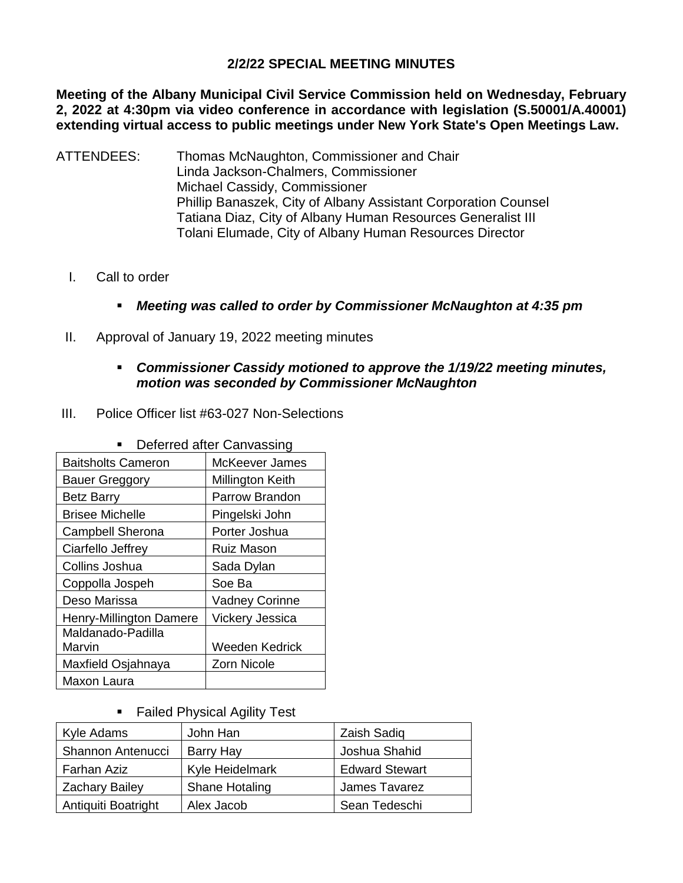## **2/2/22 SPECIAL MEETING MINUTES**

**Meeting of the Albany Municipal Civil Service Commission held on Wednesday, February 2, 2022 at 4:30pm via video conference in accordance with legislation (S.50001/A.40001) extending virtual access to public meetings under New York State's Open Meetings Law.** 

- ATTENDEES: Thomas McNaughton, Commissioner and Chair Linda Jackson-Chalmers, Commissioner Michael Cassidy, Commissioner Phillip Banaszek, City of Albany Assistant Corporation Counsel Tatiana Diaz, City of Albany Human Resources Generalist III Tolani Elumade, City of Albany Human Resources Director
	- I. Call to order
		- *Meeting was called to order by Commissioner McNaughton at 4:35 pm*
	- II. Approval of January 19, 2022 meeting minutes

## *Commissioner Cassidy motioned to approve the 1/19/22 meeting minutes, motion was seconded by Commissioner McNaughton*

III. Police Officer list #63-027 Non-Selections

| DUIUIUU UIIUI OUIIVUUUIIIU |                       |  |
|----------------------------|-----------------------|--|
| <b>Baitsholts Cameron</b>  | <b>McKeever James</b> |  |
| <b>Bauer Greggory</b>      | Millington Keith      |  |
| <b>Betz Barry</b>          | Parrow Brandon        |  |
| <b>Brisee Michelle</b>     | Pingelski John        |  |
| Campbell Sherona           | Porter Joshua         |  |
| Ciarfello Jeffrey          | Ruiz Mason            |  |
| Collins Joshua             | Sada Dylan            |  |
| Coppolla Jospeh            | Soe Ba                |  |
| Deso Marissa               | <b>Vadney Corinne</b> |  |
| Henry-Millington Damere    | Vickery Jessica       |  |
| Maldanado-Padilla          |                       |  |
| Marvin                     | Weeden Kedrick        |  |
| Maxfield Osjahnaya         | <b>Zorn Nicole</b>    |  |
| Maxon Laura                |                       |  |

**Deferred after Canvassing** 

■ Failed Physical Agility Test

| Kyle Adams            | John Han              | Zaish Sadig           |
|-----------------------|-----------------------|-----------------------|
| Shannon Antenucci     | Barry Hay             | Joshua Shahid         |
| Farhan Aziz           | Kyle Heidelmark       | <b>Edward Stewart</b> |
| <b>Zachary Bailey</b> | <b>Shane Hotaling</b> | James Tavarez         |
| Antiquiti Boatright   | Alex Jacob            | Sean Tedeschi         |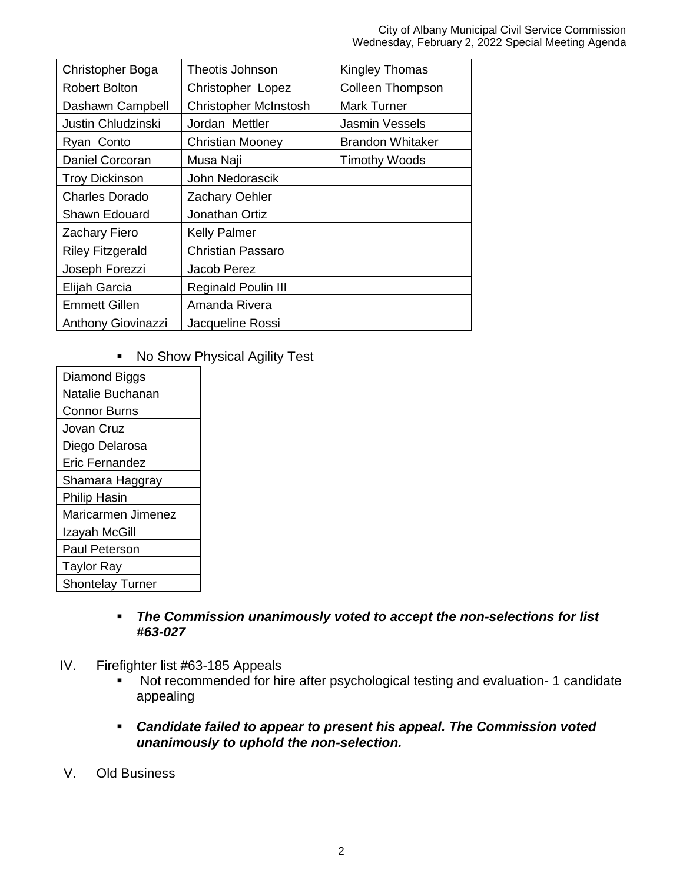| Christopher Boga          | Theotis Johnson              | <b>Kingley Thomas</b>   |
|---------------------------|------------------------------|-------------------------|
| <b>Robert Bolton</b>      | Christopher Lopez            | <b>Colleen Thompson</b> |
| Dashawn Campbell          | <b>Christopher McInstosh</b> | <b>Mark Turner</b>      |
| Justin Chludzinski        | Jordan Mettler               | Jasmin Vessels          |
| Ryan Conto                | <b>Christian Mooney</b>      | <b>Brandon Whitaker</b> |
| Daniel Corcoran           | Musa Naji                    | <b>Timothy Woods</b>    |
| <b>Troy Dickinson</b>     | John Nedorascik              |                         |
| <b>Charles Dorado</b>     | <b>Zachary Oehler</b>        |                         |
| Shawn Edouard             | Jonathan Ortiz               |                         |
| Zachary Fiero             | <b>Kelly Palmer</b>          |                         |
| <b>Riley Fitzgerald</b>   | <b>Christian Passaro</b>     |                         |
| Joseph Forezzi            | Jacob Perez                  |                         |
| Elijah Garcia             | <b>Reginald Poulin III</b>   |                         |
| <b>Emmett Gillen</b>      | Amanda Rivera                |                         |
| <b>Anthony Giovinazzi</b> | Jacqueline Rossi             |                         |

**No Show Physical Agility Test** 

| Diamond Biggs           |
|-------------------------|
| Natalie Buchanan        |
| <b>Connor Burns</b>     |
| Jovan Cruz              |
| Diego Delarosa          |
| <b>Eric Fernandez</b>   |
| Shamara Haggray         |
| <b>Philip Hasin</b>     |
| Maricarmen Jimenez      |
| Izayah McGill           |
| Paul Peterson           |
| <b>Taylor Ray</b>       |
| <b>Shontelay Turner</b> |
|                         |

- *The Commission unanimously voted to accept the non-selections for list #63-027*
- IV. Firefighter list #63-185 Appeals
	- Not recommended for hire after psychological testing and evaluation- 1 candidate appealing
	- *Candidate failed to appear to present his appeal. The Commission voted unanimously to uphold the non-selection.*
- V. Old Business